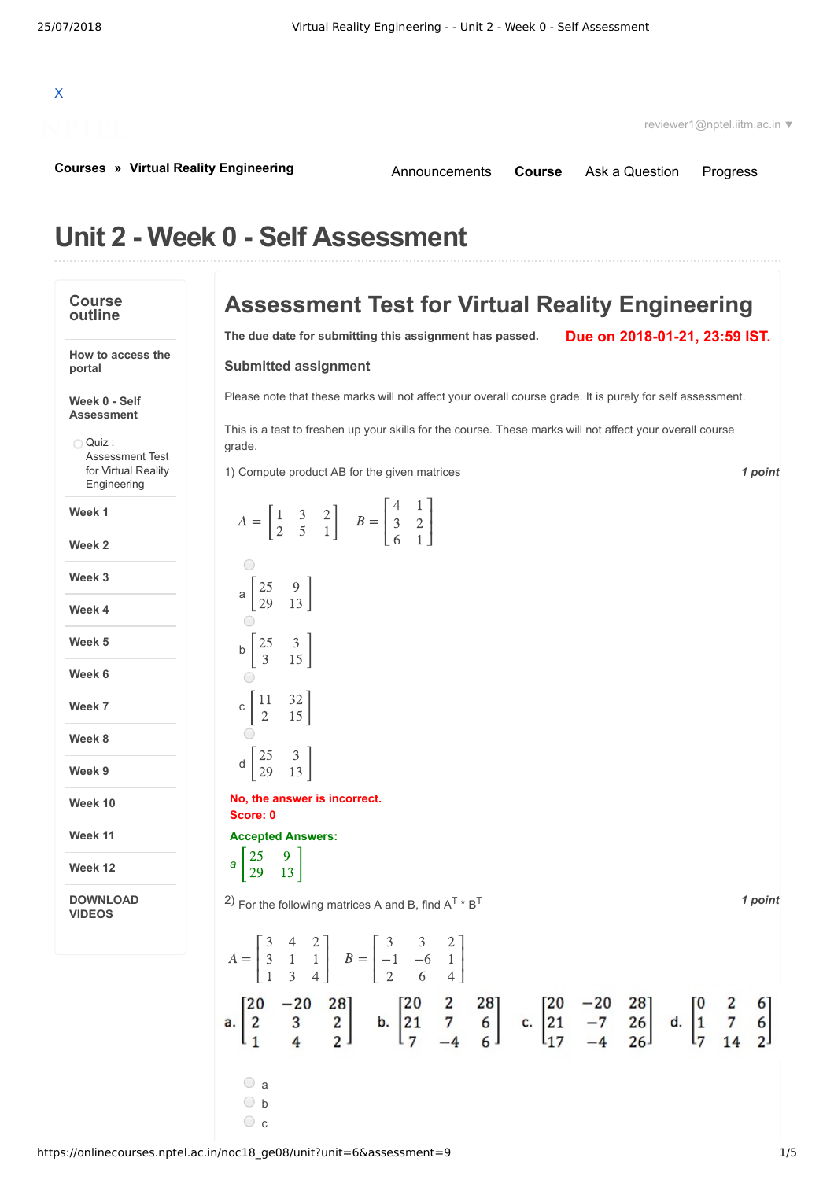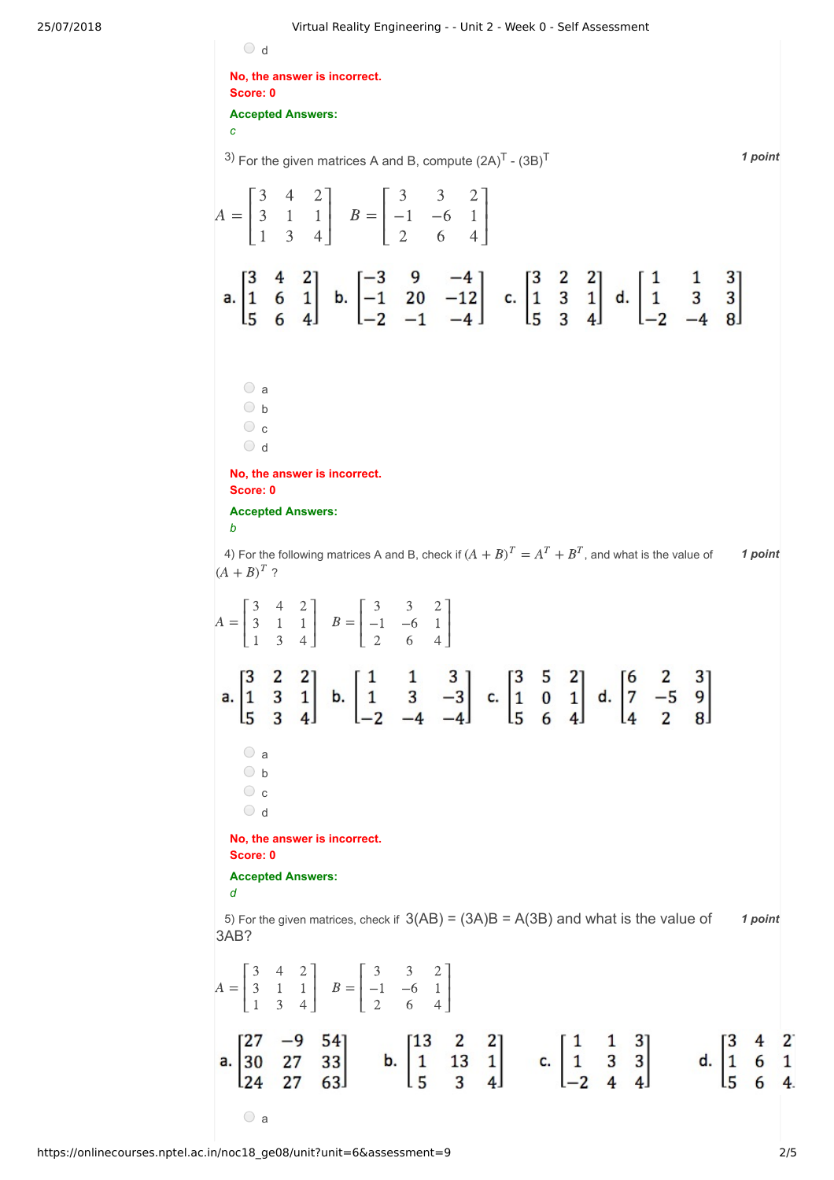25/07/2018 Virtual Reality Engineering - - Unit 2 - Week 0 - Self Assessment  $\circ$  d **No, the answer is incorrect. Score: 0 Accepted Answers:** *c* <sup>3)</sup> For the given matrices A and B, compute  $(2A)^T$  -  $(3B)^T$  and the same of the state of the state of the state of the state of the state of the state of the state of the state of the state of the state of the state of ⎡ 3 4  $2^{\degree}$ ⎤ ⎡ 3 3  $2^{\degree}$ ⎤  $\mathsf{L}$  $\blacksquare$  $\mathsf{L}$  $\blacksquare$  $A = \begin{bmatrix} 3 & 1 & 1 \end{bmatrix}$   $B =$ −1 −6 3 1 1 1  $\mathsf{L}$  $\perp$  $\mathsf{I}$  $\perp$ 1 3 4 2 6 4 ⎣ ⎦ ⎣ ⎦ a.  $\begin{bmatrix} 3 & 4 & 2 \\ 1 & 6 & 1 \\ 5 & 6 & 4 \end{bmatrix}$  b.  $\begin{bmatrix} -3 & 9 & -4 \\ -1 & 20 & -12 \\ -2 & -1 & -4 \end{bmatrix}$  c.  $\begin{bmatrix} 3 & 2 & 2 \\ 1 & 3 & 1 \\ 5 & 3 & 4 \end{bmatrix}$  d.  $\begin{bmatrix} 1 & 1 & 3 \\ 1 & 3 & 3 \\ -2 & -4 & 8 \end{bmatrix}$ a  $\bigcirc$  b  $\circ$  c  $\bigcirc$  d **No, the answer is incorrect. Score: 0 Accepted Answers:** *b* 4) For the following matrices A and B, check if  $(A + B)^T = A^T + B^T$ , and what is the value of  $\qquad$  1 point  $(A + B)^T$  ? Γ 3 4 2 ⎤ ⎡ 3 3 2 ⎤  $\mathsf I$  $\vert$  $\parallel$  $\overline{\phantom{a}}$  $A = \begin{bmatrix} 3 & 1 & 1 \end{bmatrix}$   $B =$ −1 −6 3 1 1 1 ⎣ 1 3 4 ⎦ ⎣ 2 6 4 ⎦ a.  $\begin{bmatrix} 3 & 2 & 2 \\ 1 & 3 & 1 \\ 5 & 3 & 4 \end{bmatrix}$  b.  $\begin{bmatrix} 1 & 1 & 3 \\ 1 & 3 & -3 \\ -2 & -4 & -4 \end{bmatrix}$  c.  $\begin{bmatrix} 3 & 5 & 2 \\ 1 & 0 & 1 \\ 5 & 6 & 4 \end{bmatrix}$  d.  $\begin{bmatrix} 6 & 2 & 3 \\ 7 & -5 & 9 \\ 4 & 2 & 8 \end{bmatrix}$ a  $\bigcirc$  b  $\circ$  c  $\bigcirc$  d **No, the answer is incorrect. Score: 0 Accepted Answers:** *d* 5) For the given matrices, check if  $3(AB) = (3A)B = A(3B)$  and what is the value of  $\overline{\phantom{a}}$  1 point 3AB? Γ 3 4 2 ⎤ ⎡ 3 3 2 ⎤ ⎢ ⎢  $\vert$  $\parallel$  $\overline{\phantom{a}}$  $A = \begin{bmatrix} 3 & 1 & 1 \end{bmatrix}$   $B =$ −1 −6 3 1 1 1 ⎣ 1 3 4  $\perp$ ⎣ 2 6 4  $\perp$ a.  $\begin{bmatrix} 27 & -9 & 54 \\ 30 & 27 & 33 \\ 24 & 27 & 63 \end{bmatrix}$  b.  $\begin{bmatrix} 13 & 2 & 2 \\ 1 & 13 & 1 \\ 5 & 3 & 4 \end{bmatrix}$  c.  $\begin{bmatrix} 1 & 1 & 3 \\ 1 & 3 & 3 \\ -2 & 4 & 4 \end{bmatrix}$  d.  $\begin{bmatrix} 3 & 4 & 2 \\ 1 & 6 & 1 \\ 5 & 6 & 4 \end{bmatrix}$ 

 $\bigcirc$  a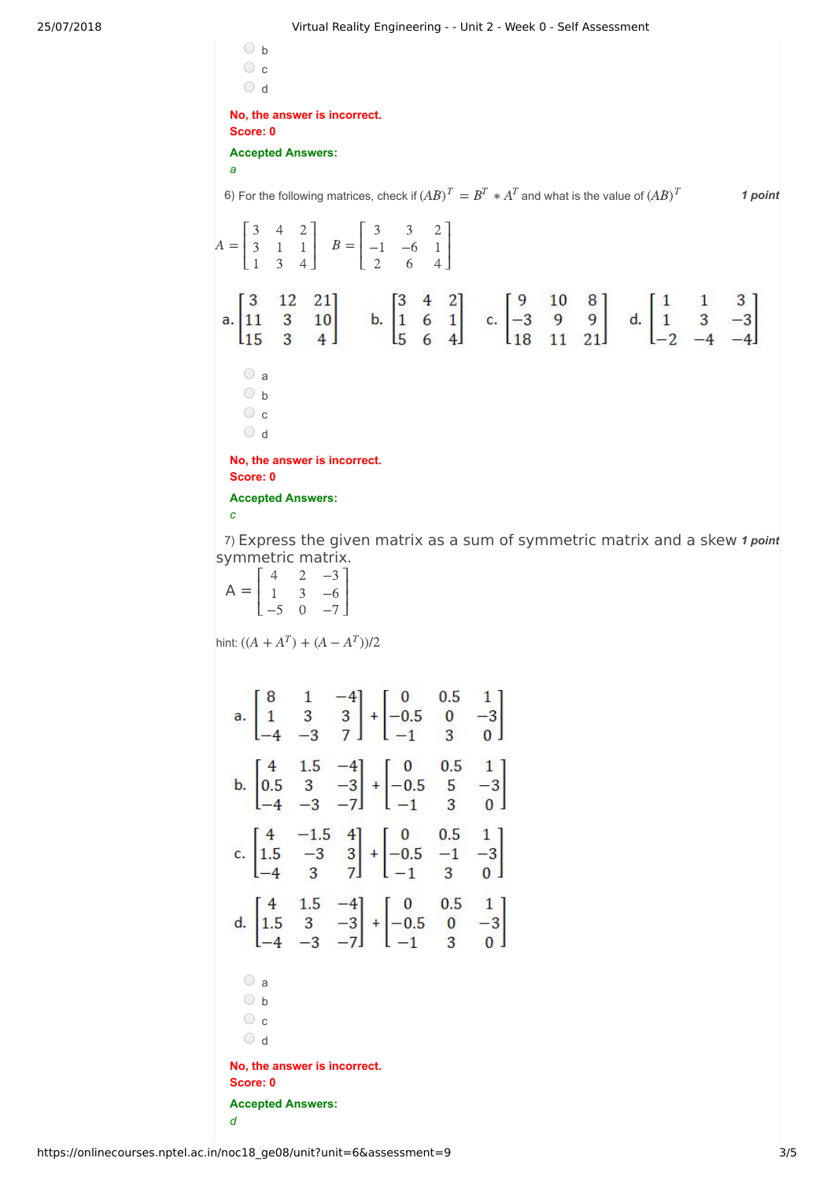$\circ$  b  $\circ$  c  $\bigcirc$  d **No, the answer is incorrect. Score: 0**

**Accepted Answers:**

*a*

6) For the following matrices, check if  $(AB)^T = B^T * A^T$  and what is the value of  $(AB)^T$  **1 point** 

Γ 3 4 2 ⎤ ⎡ 3 3 2 ⎤ ⎢ ⎢  $\vert$  $\parallel$  $\overline{\phantom{a}}$  $A = \begin{bmatrix} 3 & 1 & 1 \end{bmatrix}$   $B =$ −1 −6 3 1 1 1 ⎣ ⎦ ⎣  $\perp$ 1 3 4 2 6 4 a.  $\begin{bmatrix} 3 & 12 & 21 \\ 11 & 3 & 10 \\ 15 & 3 & 4 \end{bmatrix}$  b.  $\begin{bmatrix} 3 & 4 & 2 \\ 1 & 6 & 1 \\ 5 & 6 & 4 \end{bmatrix}$  c.  $\begin{bmatrix} 9 & 10 & 8 \\ -3 & 9 & 9 \\ 18 & 11 & 21 \end{bmatrix}$  d.  $\begin{bmatrix} 1 & 1 & 3 \\ 1 & 3 & -3 \\ -2 & -4 & -4 \end{bmatrix}$  $\circ$  a  $\bigcirc$  b  $\circ$  c  $\circ$  d

**No, the answer is incorrect. Score: 0**

**Accepted Answers:**

*c*

7) Express the given matrix as a sum of symmetric matrix and a skew 1 point symmetric matrix.

 $A =$ Γ ⎣ ⎢ ⎢ 4 1 −5 2 3 0 −3 −6  $-7$ ⎤ ⎦  $\vert$ 

hint:  $((A + A^T) + (A - A^T))/2$ 

a b c d **No, the answer is incorrect. Score: 0 Accepted Answers:** *d*

https://onlinecourses.nptel.ac.in/noc18\_ge08/unit?unit=6&assessment=9 3/5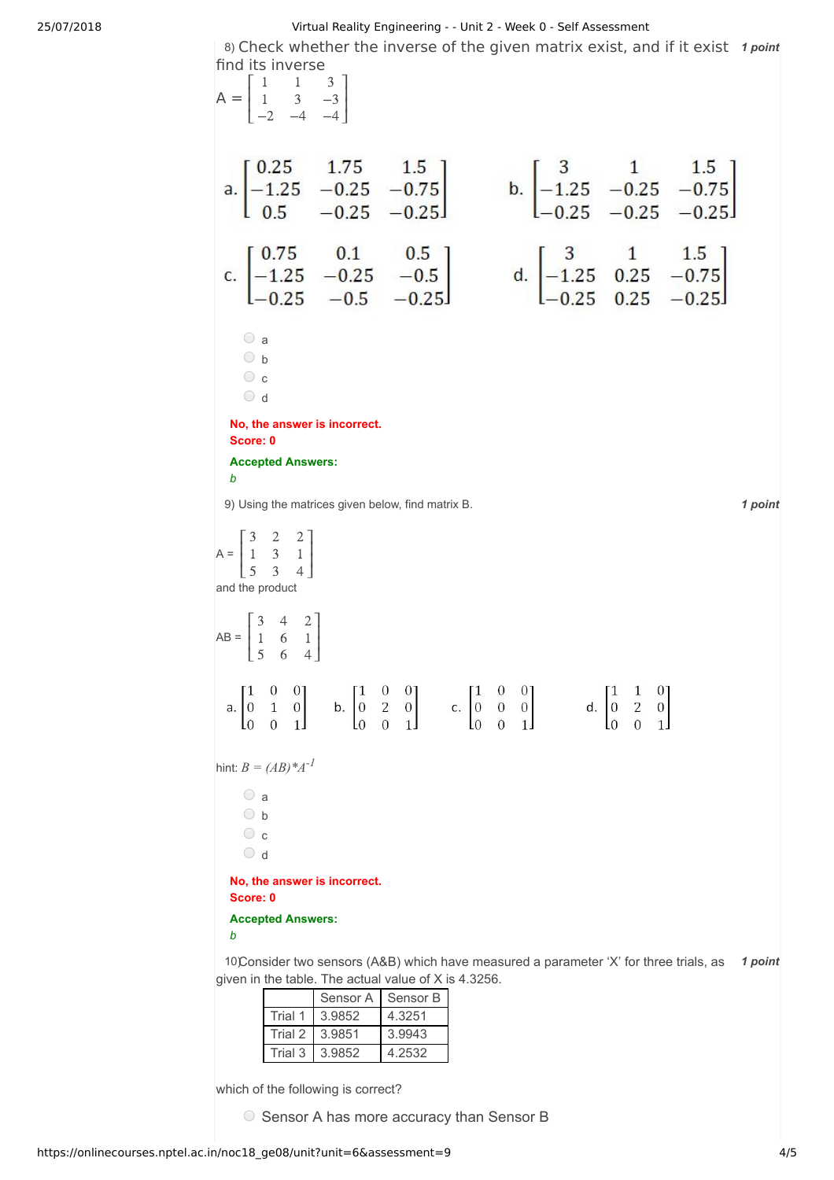25/07/2018 Virtual Reality Engineering - - Unit 2 - Week 0 - Self Assessment

8) Check whether the inverse of the given matrix exist, and if it exist 1 point

| find its inverse<br>$A = \begin{bmatrix} 1 & 1 & 3 \\ 1 & 3 & -3 \\ -2 & -4 & -4 \end{bmatrix}$                                                                                                                                                                                                                          |                                                                                                                                                                                                                                             |
|--------------------------------------------------------------------------------------------------------------------------------------------------------------------------------------------------------------------------------------------------------------------------------------------------------------------------|---------------------------------------------------------------------------------------------------------------------------------------------------------------------------------------------------------------------------------------------|
| a. $\begin{bmatrix} 0.25 & 1.75 & 1.5 \\ -1.25 & -0.25 & -0.75 \\ 0.5 & -0.25 & -0.25 \end{bmatrix}$                                                                                                                                                                                                                     | b. $\begin{bmatrix} 3 & 1 & 1.5 \\ -1.25 & -0.25 & -0.75 \\ -0.25 & -0.25 & -0.25 \end{bmatrix}$                                                                                                                                            |
| c. $\begin{bmatrix} 0.75 & 0.1 & 0.5 \\ -1.25 & -0.25 & -0.5 \\ -0.25 & -0.5 & -0.25 \end{bmatrix}$ d. $\begin{bmatrix} 3 & 1 & 1.5 \\ -1.25 & 0.25 & -0.75 \\ -0.25 & 0.25 & -0.25 \end{bmatrix}$                                                                                                                       |                                                                                                                                                                                                                                             |
| $\circ$ a<br>$\bigcirc$ b<br>$\circ$ c<br>$\circ$ d                                                                                                                                                                                                                                                                      |                                                                                                                                                                                                                                             |
| No, the answer is incorrect.<br>Score: 0                                                                                                                                                                                                                                                                                 |                                                                                                                                                                                                                                             |
| <b>Accepted Answers:</b><br>b                                                                                                                                                                                                                                                                                            |                                                                                                                                                                                                                                             |
| 9) Using the matrices given below, find matrix B.                                                                                                                                                                                                                                                                        | 1 point                                                                                                                                                                                                                                     |
| $A = \begin{bmatrix} 3 & 2 & 2 \\ 1 & 3 & 1 \\ 5 & 3 & 4 \end{bmatrix}$<br>and the product                                                                                                                                                                                                                               |                                                                                                                                                                                                                                             |
| $AB = \begin{bmatrix} 3 & 4 & 2 \\ 1 & 6 & 1 \\ 5 & 6 & 4 \end{bmatrix}$                                                                                                                                                                                                                                                 |                                                                                                                                                                                                                                             |
| $0 \quad 0$ ]<br>$\lceil 1 \rceil$<br>$0 \quad 0$ ]<br>$\sqrt{1}$<br>$\lceil 1 \rceil$<br>$\overline{c}$<br>$\mathbf{1}$<br>b. 0<br>$\overline{0}$<br>$\overline{0}$<br>$\overline{0}$<br>$\mathbf{0}$<br>c.<br>а.<br>$\overline{0}$<br>$\overline{0}$<br>1 <sub>1</sub><br>L0<br>L <sub>0</sub><br>IО<br>1 <sub>l</sub> | $0 \quad 0$ ]<br>$\lceil 1 \rceil$<br>0 <sub>1</sub><br>$\mathbf{1}$<br>$\overline{c}$<br>$\boldsymbol{0}$<br>$\vert 0 \vert$<br>d.<br>$\theta$<br>$\mathbf{0}$<br>$\theta$<br>$\theta$<br>1 <sub>1</sub><br>L <sub>0</sub><br>$\mathbf{1}$ |
| hint: $B = (AB)^*A^{-1}$                                                                                                                                                                                                                                                                                                 |                                                                                                                                                                                                                                             |
| $\circ$ a<br>$\circ$ b<br>$\circ$ c<br>$\circ$ d                                                                                                                                                                                                                                                                         |                                                                                                                                                                                                                                             |
| No, the answer is incorrect.<br>Score: 0                                                                                                                                                                                                                                                                                 |                                                                                                                                                                                                                                             |
| <b>Accepted Answers:</b><br>b                                                                                                                                                                                                                                                                                            |                                                                                                                                                                                                                                             |
| 10Consider two sensors (A&B) which have measured a parameter 'X' for three trials, as<br>given in the table. The actual value of X is 4.3256.<br>Sensor B<br>Sensor A                                                                                                                                                    | 1 point                                                                                                                                                                                                                                     |

|         | Sensor A | Sensor B |
|---------|----------|----------|
| Trial 1 | 3.9852   | 4.3251   |
| Trial 2 | 3.9851   | 3.9943   |
| Trial 3 | 3.9852   | 4.2532   |

which of the following is correct?

O Sensor A has more accuracy than Sensor B